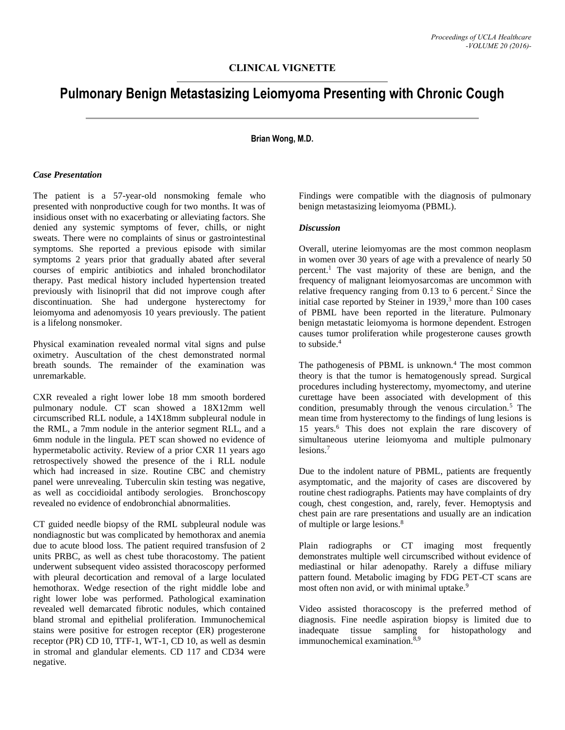# **Pulmonary Benign Metastasizing Leiomyoma Presenting with Chronic Cough**

## **Brian Wong, M.D.**

#### *Case Presentation*

The patient is a 57-year-old nonsmoking female who presented with nonproductive cough for two months. It was of insidious onset with no exacerbating or alleviating factors. She denied any systemic symptoms of fever, chills, or night sweats. There were no complaints of sinus or gastrointestinal symptoms. She reported a previous episode with similar symptoms 2 years prior that gradually abated after several courses of empiric antibiotics and inhaled bronchodilator therapy. Past medical history included hypertension treated previously with lisinopril that did not improve cough after discontinuation. She had undergone hysterectomy for leiomyoma and adenomyosis 10 years previously. The patient is a lifelong nonsmoker.

Physical examination revealed normal vital signs and pulse oximetry. Auscultation of the chest demonstrated normal breath sounds. The remainder of the examination was unremarkable.

CXR revealed a right lower lobe 18 mm smooth bordered pulmonary nodule. CT scan showed a 18X12mm well circumscribed RLL nodule, a 14X18mm subpleural nodule in the RML, a 7mm nodule in the anterior segment RLL, and a 6mm nodule in the lingula. PET scan showed no evidence of hypermetabolic activity. Review of a prior CXR 11 years ago retrospectively showed the presence of the i RLL nodule which had increased in size. Routine CBC and chemistry panel were unrevealing. Tuberculin skin testing was negative, as well as coccidioidal antibody serologies. Bronchoscopy revealed no evidence of endobronchial abnormalities.

CT guided needle biopsy of the RML subpleural nodule was nondiagnostic but was complicated by hemothorax and anemia due to acute blood loss. The patient required transfusion of 2 units PRBC, as well as chest tube thoracostomy. The patient underwent subsequent video assisted thoracoscopy performed with pleural decortication and removal of a large loculated hemothorax. Wedge resection of the right middle lobe and right lower lobe was performed. Pathological examination revealed well demarcated fibrotic nodules, which contained bland stromal and epithelial proliferation. Immunochemical stains were positive for estrogen receptor (ER) progesterone receptor (PR) CD 10, TTF-1, WT-1, CD 10, as well as desmin in stromal and glandular elements. CD 117 and CD34 were negative.

Findings were compatible with the diagnosis of pulmonary benign metastasizing leiomyoma (PBML).

### *Discussion*

Overall, uterine leiomyomas are the most common neoplasm in women over 30 years of age with a prevalence of nearly 50 percent.<sup>1</sup> The vast majority of these are benign, and the frequency of malignant leiomyosarcomas are uncommon with relative frequency ranging from  $0.13$  to 6 percent.<sup>2</sup> Since the initial case reported by Steiner in  $1939$ ,<sup>3</sup> more than 100 cases of PBML have been reported in the literature. Pulmonary benign metastatic leiomyoma is hormone dependent. Estrogen causes tumor proliferation while progesterone causes growth to subside.<sup>4</sup>

The pathogenesis of PBML is unknown. $4$  The most common theory is that the tumor is hematogenously spread. Surgical procedures including hysterectomy, myomectomy, and uterine curettage have been associated with development of this condition, presumably through the venous circulation.<sup>5</sup> The mean time from hysterectomy to the findings of lung lesions is 15 years.<sup>6</sup> This does not explain the rare discovery of simultaneous uterine leiomyoma and multiple pulmonary lesions.<sup>7</sup>

Due to the indolent nature of PBML, patients are frequently asymptomatic, and the majority of cases are discovered by routine chest radiographs. Patients may have complaints of dry cough, chest congestion, and, rarely, fever. Hemoptysis and chest pain are rare presentations and usually are an indication of multiple or large lesions.<sup>8</sup>

Plain radiographs or CT imaging most frequently demonstrates multiple well circumscribed without evidence of mediastinal or hilar adenopathy. Rarely a diffuse miliary pattern found. Metabolic imaging by FDG PET-CT scans are most often non avid, or with minimal uptake.<sup>9</sup>

Video assisted thoracoscopy is the preferred method of diagnosis. Fine needle aspiration biopsy is limited due to inadequate tissue sampling for histopathology and immunochemical examination. $8,9$